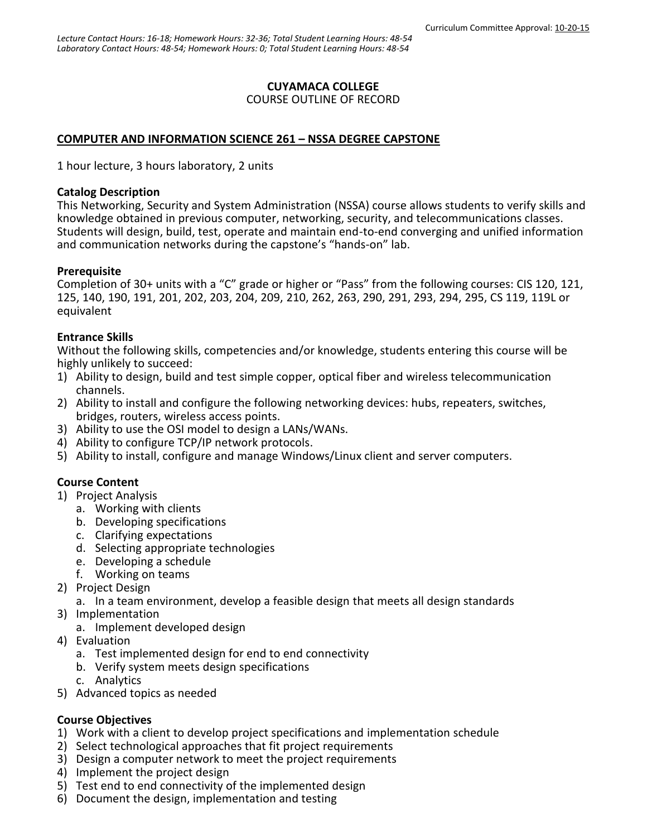### **CUYAMACA COLLEGE**

#### COURSE OUTLINE OF RECORD

### **COMPUTER AND INFORMATION SCIENCE 261 – NSSA DEGREE CAPSTONE**

1 hour lecture, 3 hours laboratory, 2 units

#### **Catalog Description**

This Networking, Security and System Administration (NSSA) course allows students to verify skills and knowledge obtained in previous computer, networking, security, and telecommunications classes. Students will design, build, test, operate and maintain end-to-end converging and unified information and communication networks during the capstone's "hands-on" lab.

### **Prerequisite**

Completion of 30+ units with a "C" grade or higher or "Pass" from the following courses: CIS 120, 121, 125, 140, 190, 191, 201, 202, 203, 204, 209, 210, 262, 263, 290, 291, 293, 294, 295, CS 119, 119L or equivalent

### **Entrance Skills**

Without the following skills, competencies and/or knowledge, students entering this course will be highly unlikely to succeed:

- 1) Ability to design, build and test simple copper, optical fiber and wireless telecommunication channels.
- 2) Ability to install and configure the following networking devices: hubs, repeaters, switches, bridges, routers, wireless access points.
- 3) Ability to use the OSI model to design a LANs/WANs.
- 4) Ability to configure TCP/IP network protocols.
- 5) Ability to install, configure and manage Windows/Linux client and server computers.

### **Course Content**

- 1) Project Analysis
	- a. Working with clients
	- b. Developing specifications
	- c. Clarifying expectations
	- d. Selecting appropriate technologies
	- e. Developing a schedule
	- f. Working on teams
- 2) Project Design
	- a. In a team environment, develop a feasible design that meets all design standards
- 3) Implementation
	- a. Implement developed design
- 4) Evaluation
	- a. Test implemented design for end to end connectivity
	- b. Verify system meets design specifications
	- c. Analytics
- 5) Advanced topics as needed

### **Course Objectives**

- 1) Work with a client to develop project specifications and implementation schedule
- 2) Select technological approaches that fit project requirements
- 3) Design a computer network to meet the project requirements
- 4) Implement the project design
- 5) Test end to end connectivity of the implemented design
- 6) Document the design, implementation and testing